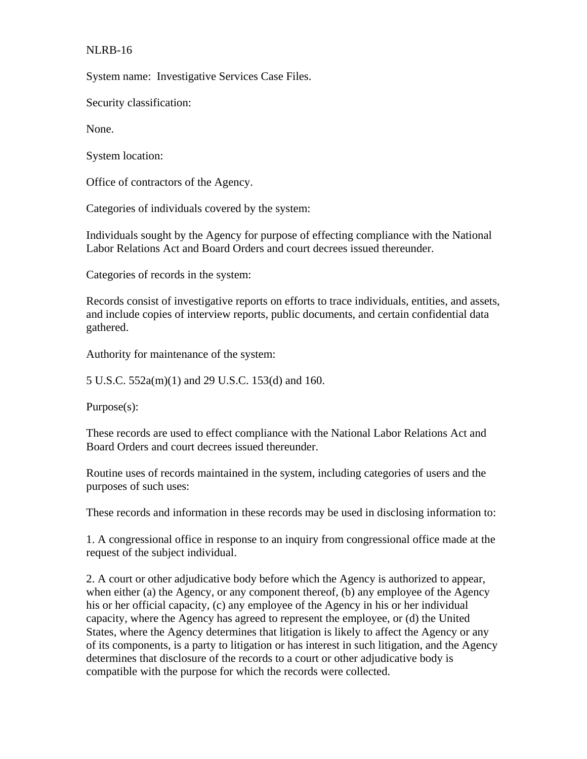## NLRB-16

System name: Investigative Services Case Files.

Security classification:

None.

System location:

Office of contractors of the Agency.

Categories of individuals covered by the system:

Individuals sought by the Agency for purpose of effecting compliance with the National Labor Relations Act and Board Orders and court decrees issued thereunder.

Categories of records in the system:

Records consist of investigative reports on efforts to trace individuals, entities, and assets, and include copies of interview reports, public documents, and certain confidential data gathered.

Authority for maintenance of the system:

5 U.S.C. 552a(m)(1) and 29 U.S.C. 153(d) and 160.

Purpose(s):

These records are used to effect compliance with the National Labor Relations Act and Board Orders and court decrees issued thereunder.

Routine uses of records maintained in the system, including categories of users and the purposes of such uses:

These records and information in these records may be used in disclosing information to:

1. A congressional office in response to an inquiry from congressional office made at the request of the subject individual.

2. A court or other adjudicative body before which the Agency is authorized to appear, when either (a) the Agency, or any component thereof, (b) any employee of the Agency his or her official capacity, (c) any employee of the Agency in his or her individual capacity, where the Agency has agreed to represent the employee, or (d) the United States, where the Agency determines that litigation is likely to affect the Agency or any of its components, is a party to litigation or has interest in such litigation, and the Agency determines that disclosure of the records to a court or other adjudicative body is compatible with the purpose for which the records were collected.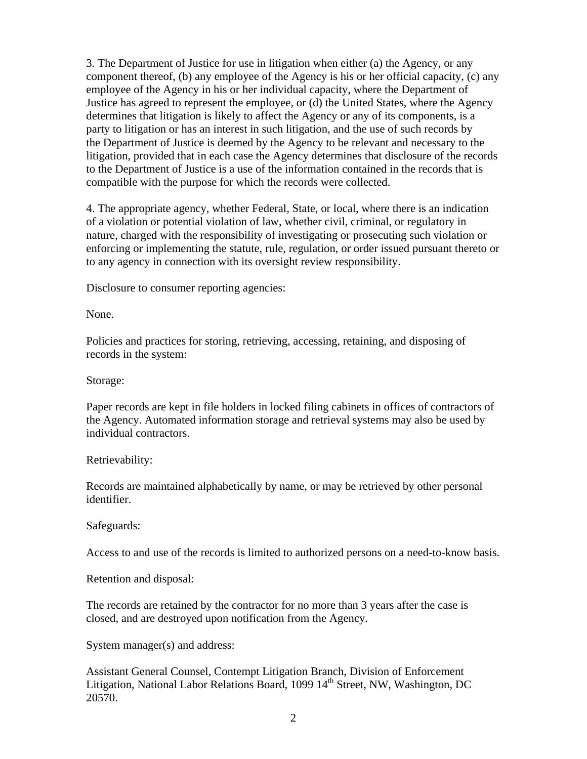3. The Department of Justice for use in litigation when either (a) the Agency, or any component thereof, (b) any employee of the Agency is his or her official capacity, (c) any employee of the Agency in his or her individual capacity, where the Department of Justice has agreed to represent the employee, or (d) the United States, where the Agency determines that litigation is likely to affect the Agency or any of its components, is a party to litigation or has an interest in such litigation, and the use of such records by the Department of Justice is deemed by the Agency to be relevant and necessary to the litigation, provided that in each case the Agency determines that disclosure of the records to the Department of Justice is a use of the information contained in the records that is compatible with the purpose for which the records were collected.

4. The appropriate agency, whether Federal, State, or local, where there is an indication of a violation or potential violation of law, whether civil, criminal, or regulatory in nature, charged with the responsibility of investigating or prosecuting such violation or enforcing or implementing the statute, rule, regulation, or order issued pursuant thereto or to any agency in connection with its oversight review responsibility.

Disclosure to consumer reporting agencies:

None.

Policies and practices for storing, retrieving, accessing, retaining, and disposing of records in the system:

Storage:

Paper records are kept in file holders in locked filing cabinets in offices of contractors of the Agency. Automated information storage and retrieval systems may also be used by individual contractors.

## Retrievability:

Records are maintained alphabetically by name, or may be retrieved by other personal identifier.

Safeguards:

Access to and use of the records is limited to authorized persons on a need-to-know basis.

Retention and disposal:

The records are retained by the contractor for no more than 3 years after the case is closed, and are destroyed upon notification from the Agency.

System manager(s) and address:

Assistant General Counsel, Contempt Litigation Branch, Division of Enforcement Litigation, National Labor Relations Board, 1099  $14<sup>th</sup>$  Street, NW, Washington, DC 20570.